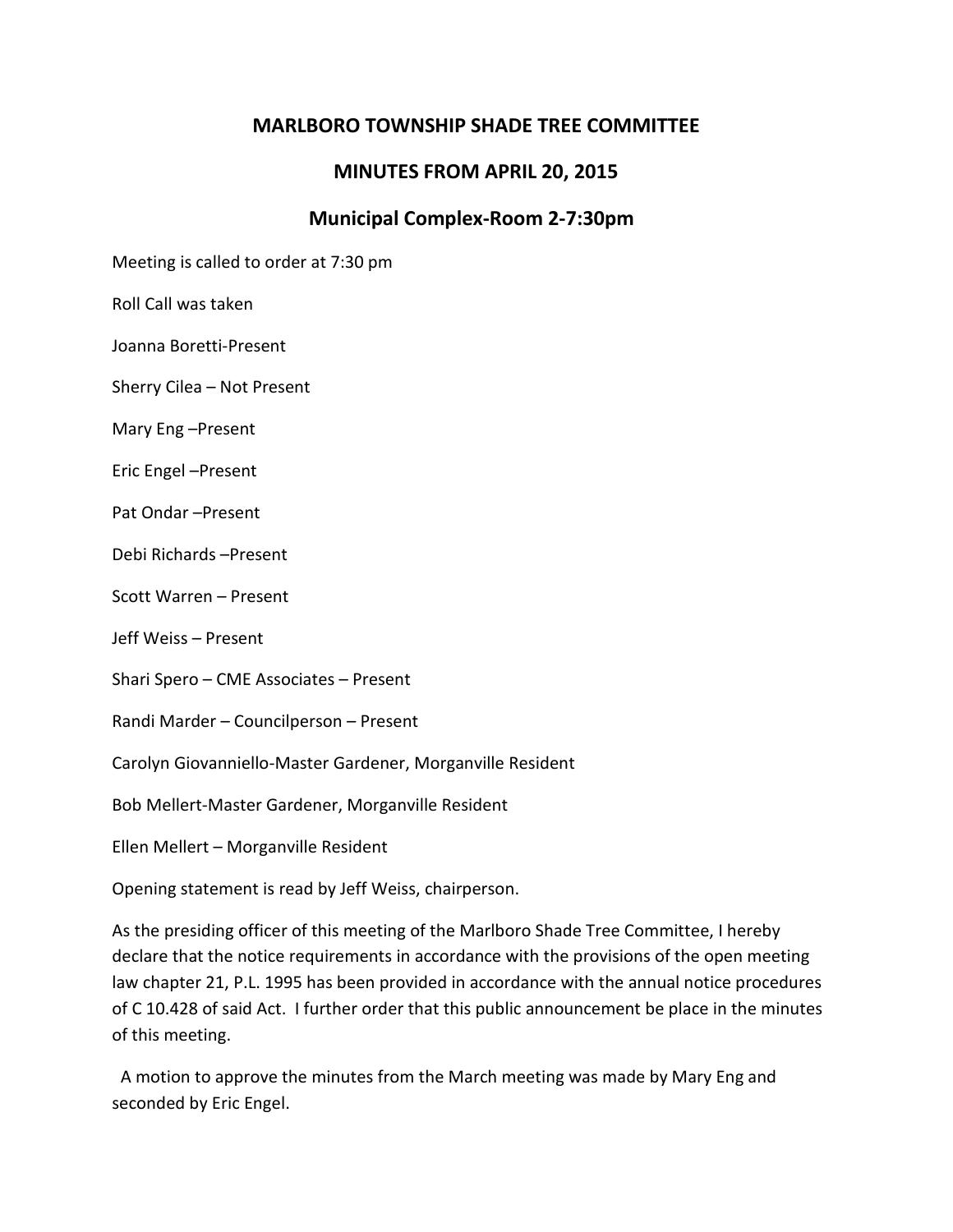# **MARLBORO TOWNSHIP SHADE TREE COMMITTEE**

# **MINUTES FROM APRIL 20, 2015**

# **Municipal Complex-Room 2-7:30pm**

Meeting is called to order at 7:30 pm

Roll Call was taken

Joanna Boretti-Present

Sherry Cilea – Not Present

Mary Eng –Present

Eric Engel –Present

Pat Ondar –Present

Debi Richards –Present

Scott Warren – Present

Jeff Weiss – Present

Shari Spero – CME Associates – Present

Randi Marder – Councilperson – Present

Carolyn Giovanniello-Master Gardener, Morganville Resident

Bob Mellert-Master Gardener, Morganville Resident

Ellen Mellert – Morganville Resident

Opening statement is read by Jeff Weiss, chairperson.

As the presiding officer of this meeting of the Marlboro Shade Tree Committee, I hereby declare that the notice requirements in accordance with the provisions of the open meeting law chapter 21, P.L. 1995 has been provided in accordance with the annual notice procedures of C 10.428 of said Act. I further order that this public announcement be place in the minutes of this meeting.

 A motion to approve the minutes from the March meeting was made by Mary Eng and seconded by Eric Engel.